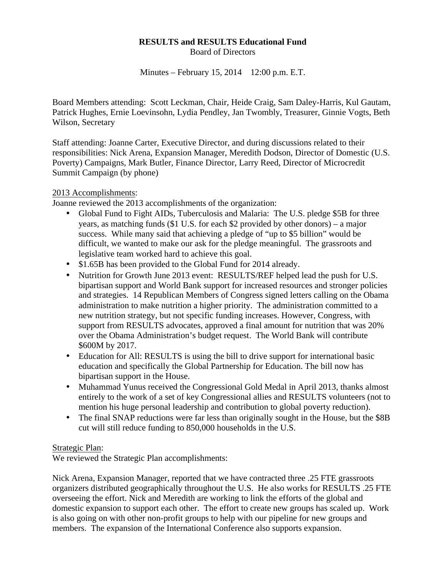## **RESULTS and RESULTS Educational Fund**  Board of Directors

Minutes – February 15, 2014 12:00 p.m. E.T.

Board Members attending: Scott Leckman, Chair, Heide Craig, Sam Daley-Harris, Kul Gautam, Patrick Hughes, Ernie Loevinsohn, Lydia Pendley, Jan Twombly, Treasurer, Ginnie Vogts, Beth Wilson, Secretary

Staff attending: Joanne Carter, Executive Director, and during discussions related to their responsibilities: Nick Arena, Expansion Manager, Meredith Dodson, Director of Domestic (U.S. Poverty) Campaigns, Mark Butler, Finance Director, Larry Reed, Director of Microcredit Summit Campaign (by phone)

## 2013 Accomplishments:

Joanne reviewed the 2013 accomplishments of the organization:

- Global Fund to Fight AIDs, Tuberculosis and Malaria: The U.S. pledge \$5B for three years, as matching funds (\$1 U.S. for each \$2 provided by other donors) – a major success. While many said that achieving a pledge of "up to \$5 billion" would be difficult, we wanted to make our ask for the pledge meaningful. The grassroots and legislative team worked hard to achieve this goal.
- \$1.65B has been provided to the Global Fund for 2014 already.
- Nutrition for Growth June 2013 event: RESULTS/REF helped lead the push for U.S. bipartisan support and World Bank support for increased resources and stronger policies and strategies. 14 Republican Members of Congress signed letters calling on the Obama administration to make nutrition a higher priority. The administration committed to a new nutrition strategy, but not specific funding increases. However, Congress, with support from RESULTS advocates, approved a final amount for nutrition that was 20% over the Obama Administration's budget request. The World Bank will contribute \$600M by 2017.
- Education for All: RESULTS is using the bill to drive support for international basic education and specifically the Global Partnership for Education. The bill now has bipartisan support in the House.
- Muhammad Yunus received the Congressional Gold Medal in April 2013, thanks almost entirely to the work of a set of key Congressional allies and RESULTS volunteers (not to mention his huge personal leadership and contribution to global poverty reduction).
- The final SNAP reductions were far less than originally sought in the House, but the \$8B cut will still reduce funding to 850,000 households in the U.S.

### Strategic Plan:

We reviewed the Strategic Plan accomplishments:

Nick Arena, Expansion Manager, reported that we have contracted three .25 FTE grassroots organizers distributed geographically throughout the U.S. He also works for RESULTS .25 FTE overseeing the effort. Nick and Meredith are working to link the efforts of the global and domestic expansion to support each other. The effort to create new groups has scaled up. Work is also going on with other non-profit groups to help with our pipeline for new groups and members. The expansion of the International Conference also supports expansion.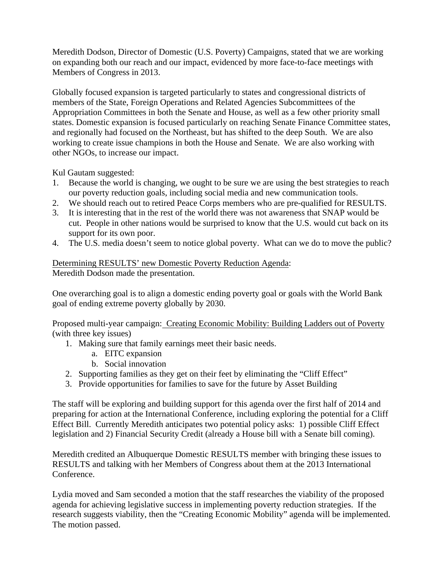Meredith Dodson, Director of Domestic (U.S. Poverty) Campaigns, stated that we are working on expanding both our reach and our impact, evidenced by more face-to-face meetings with Members of Congress in 2013.

Globally focused expansion is targeted particularly to states and congressional districts of members of the State, Foreign Operations and Related Agencies Subcommittees of the Appropriation Committees in both the Senate and House, as well as a few other priority small states. Domestic expansion is focused particularly on reaching Senate Finance Committee states, and regionally had focused on the Northeast, but has shifted to the deep South. We are also working to create issue champions in both the House and Senate. We are also working with other NGOs, to increase our impact.

Kul Gautam suggested:

- 1. Because the world is changing, we ought to be sure we are using the best strategies to reach our poverty reduction goals, including social media and new communication tools.
- 2. We should reach out to retired Peace Corps members who are pre-qualified for RESULTS.
- 3. It is interesting that in the rest of the world there was not awareness that SNAP would be cut. People in other nations would be surprised to know that the U.S. would cut back on its support for its own poor.
- 4. The U.S. media doesn't seem to notice global poverty. What can we do to move the public?

Determining RESULTS' new Domestic Poverty Reduction Agenda: Meredith Dodson made the presentation.

One overarching goal is to align a domestic ending poverty goal or goals with the World Bank goal of ending extreme poverty globally by 2030.

Proposed multi-year campaign: Creating Economic Mobility: Building Ladders out of Poverty (with three key issues)

- 1. Making sure that family earnings meet their basic needs.
	- a. EITC expansion
	- b. Social innovation
- 2. Supporting families as they get on their feet by eliminating the "Cliff Effect"
- 3. Provide opportunities for families to save for the future by Asset Building

The staff will be exploring and building support for this agenda over the first half of 2014 and preparing for action at the International Conference, including exploring the potential for a Cliff Effect Bill. Currently Meredith anticipates two potential policy asks: 1) possible Cliff Effect legislation and 2) Financial Security Credit (already a House bill with a Senate bill coming).

Meredith credited an Albuquerque Domestic RESULTS member with bringing these issues to RESULTS and talking with her Members of Congress about them at the 2013 International Conference.

Lydia moved and Sam seconded a motion that the staff researches the viability of the proposed agenda for achieving legislative success in implementing poverty reduction strategies. If the research suggests viability, then the "Creating Economic Mobility" agenda will be implemented. The motion passed.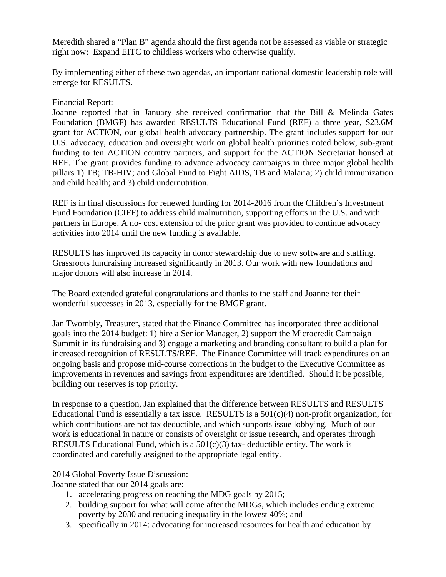Meredith shared a "Plan B" agenda should the first agenda not be assessed as viable or strategic right now: Expand EITC to childless workers who otherwise qualify.

By implementing either of these two agendas, an important national domestic leadership role will emerge for RESULTS.

### Financial Report:

Joanne reported that in January she received confirmation that the Bill & Melinda Gates Foundation (BMGF) has awarded RESULTS Educational Fund (REF) a three year, \$23.6M grant for ACTION, our global health advocacy partnership. The grant includes support for our U.S. advocacy, education and oversight work on global health priorities noted below, sub-grant funding to ten ACTION country partners, and support for the ACTION Secretariat housed at REF. The grant provides funding to advance advocacy campaigns in three major global health pillars 1) TB; TB-HIV; and Global Fund to Fight AIDS, TB and Malaria; 2) child immunization and child health; and 3) child undernutrition.

REF is in final discussions for renewed funding for 2014-2016 from the Children's Investment Fund Foundation (CIFF) to address child malnutrition, supporting efforts in the U.S. and with partners in Europe. A no- cost extension of the prior grant was provided to continue advocacy activities into 2014 until the new funding is available.

RESULTS has improved its capacity in donor stewardship due to new software and staffing. Grassroots fundraising increased significantly in 2013. Our work with new foundations and major donors will also increase in 2014.

The Board extended grateful congratulations and thanks to the staff and Joanne for their wonderful successes in 2013, especially for the BMGF grant.

Jan Twombly, Treasurer, stated that the Finance Committee has incorporated three additional goals into the 2014 budget: 1) hire a Senior Manager, 2) support the Microcredit Campaign Summit in its fundraising and 3) engage a marketing and branding consultant to build a plan for increased recognition of RESULTS/REF. The Finance Committee will track expenditures on an ongoing basis and propose mid-course corrections in the budget to the Executive Committee as improvements in revenues and savings from expenditures are identified. Should it be possible, building our reserves is top priority.

In response to a question, Jan explained that the difference between RESULTS and RESULTS Educational Fund is essentially a tax issue. RESULTS is a  $501(c)(4)$  non-profit organization, for which contributions are not tax deductible, and which supports issue lobbying. Much of our work is educational in nature or consists of oversight or issue research, and operates through RESULTS Educational Fund, which is a  $501(c)(3)$  tax-deductible entity. The work is coordinated and carefully assigned to the appropriate legal entity.

### 2014 Global Poverty Issue Discussion:

Joanne stated that our 2014 goals are:

- 1. accelerating progress on reaching the MDG goals by 2015;
- 2. building support for what will come after the MDGs, which includes ending extreme poverty by 2030 and reducing inequality in the lowest 40%; and
- 3. specifically in 2014: advocating for increased resources for health and education by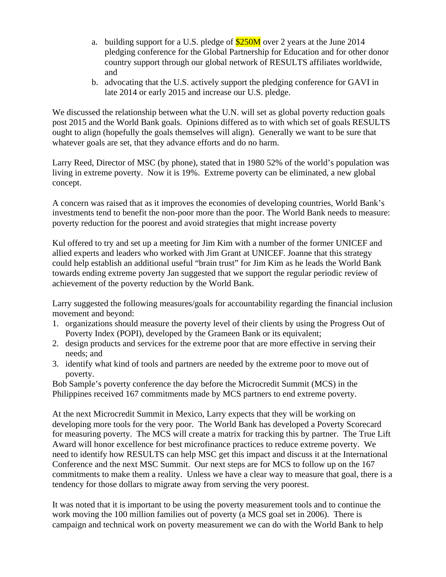- a. building support for a U.S. pledge of  $$250M$  over 2 years at the June 2014 pledging conference for the Global Partnership for Education and for other donor country support through our global network of RESULTS affiliates worldwide, and
- b. advocating that the U.S. actively support the pledging conference for GAVI in late 2014 or early 2015 and increase our U.S. pledge.

We discussed the relationship between what the U.N. will set as global poverty reduction goals post 2015 and the World Bank goals. Opinions differed as to with which set of goals RESULTS ought to align (hopefully the goals themselves will align). Generally we want to be sure that whatever goals are set, that they advance efforts and do no harm.

Larry Reed, Director of MSC (by phone), stated that in 1980 52% of the world's population was living in extreme poverty. Now it is 19%. Extreme poverty can be eliminated, a new global concept.

A concern was raised that as it improves the economies of developing countries, World Bank's investments tend to benefit the non-poor more than the poor. The World Bank needs to measure: poverty reduction for the poorest and avoid strategies that might increase poverty

Kul offered to try and set up a meeting for Jim Kim with a number of the former UNICEF and allied experts and leaders who worked with Jim Grant at UNICEF. Joanne that this strategy could help establish an additional useful "brain trust" for Jim Kim as he leads the World Bank towards ending extreme poverty Jan suggested that we support the regular periodic review of achievement of the poverty reduction by the World Bank.

Larry suggested the following measures/goals for accountability regarding the financial inclusion movement and beyond:

- 1. organizations should measure the poverty level of their clients by using the Progress Out of Poverty Index (POPI), developed by the Grameen Bank or its equivalent;
- 2. design products and services for the extreme poor that are more effective in serving their needs; and
- 3. identify what kind of tools and partners are needed by the extreme poor to move out of poverty.

Bob Sample's poverty conference the day before the Microcredit Summit (MCS) in the Philippines received 167 commitments made by MCS partners to end extreme poverty.

At the next Microcredit Summit in Mexico, Larry expects that they will be working on developing more tools for the very poor. The World Bank has developed a Poverty Scorecard for measuring poverty. The MCS will create a matrix for tracking this by partner. The True Lift Award will honor excellence for best microfinance practices to reduce extreme poverty. We need to identify how RESULTS can help MSC get this impact and discuss it at the International Conference and the next MSC Summit. Our next steps are for MCS to follow up on the 167 commitments to make them a reality. Unless we have a clear way to measure that goal, there is a tendency for those dollars to migrate away from serving the very poorest.

It was noted that it is important to be using the poverty measurement tools and to continue the work moving the 100 million families out of poverty (a MCS goal set in 2006). There is campaign and technical work on poverty measurement we can do with the World Bank to help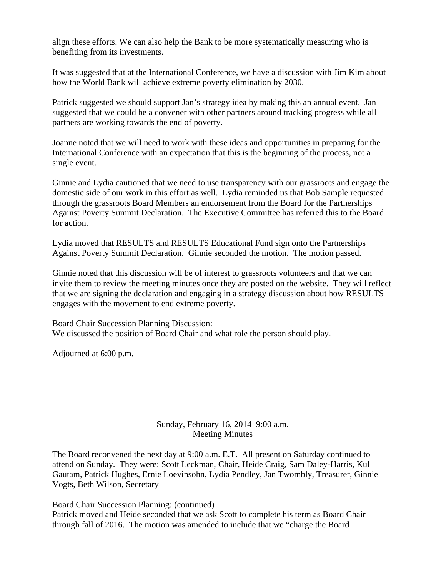align these efforts. We can also help the Bank to be more systematically measuring who is benefiting from its investments.

It was suggested that at the International Conference, we have a discussion with Jim Kim about how the World Bank will achieve extreme poverty elimination by 2030.

Patrick suggested we should support Jan's strategy idea by making this an annual event. Jan suggested that we could be a convener with other partners around tracking progress while all partners are working towards the end of poverty.

Joanne noted that we will need to work with these ideas and opportunities in preparing for the International Conference with an expectation that this is the beginning of the process, not a single event.

Ginnie and Lydia cautioned that we need to use transparency with our grassroots and engage the domestic side of our work in this effort as well. Lydia reminded us that Bob Sample requested through the grassroots Board Members an endorsement from the Board for the Partnerships Against Poverty Summit Declaration. The Executive Committee has referred this to the Board for action.

Lydia moved that RESULTS and RESULTS Educational Fund sign onto the Partnerships Against Poverty Summit Declaration. Ginnie seconded the motion. The motion passed.

Ginnie noted that this discussion will be of interest to grassroots volunteers and that we can invite them to review the meeting minutes once they are posted on the website. They will reflect that we are signing the declaration and engaging in a strategy discussion about how RESULTS engages with the movement to end extreme poverty.

\_\_\_\_\_\_\_\_\_\_\_\_\_\_\_\_\_\_\_\_\_\_\_\_\_\_\_\_\_\_\_\_\_\_\_\_\_\_\_\_\_\_\_\_\_\_\_\_\_\_\_\_\_\_\_\_\_\_\_\_\_\_\_\_\_\_\_\_\_\_\_\_\_\_

Board Chair Succession Planning Discussion: We discussed the position of Board Chair and what role the person should play.

Adjourned at 6:00 p.m.

# Sunday, February 16, 2014 9:00 a.m. Meeting Minutes

The Board reconvened the next day at 9:00 a.m. E.T. All present on Saturday continued to attend on Sunday. They were: Scott Leckman, Chair, Heide Craig, Sam Daley-Harris, Kul Gautam, Patrick Hughes, Ernie Loevinsohn, Lydia Pendley, Jan Twombly, Treasurer, Ginnie Vogts, Beth Wilson, Secretary

Board Chair Succession Planning: (continued)

Patrick moved and Heide seconded that we ask Scott to complete his term as Board Chair through fall of 2016. The motion was amended to include that we "charge the Board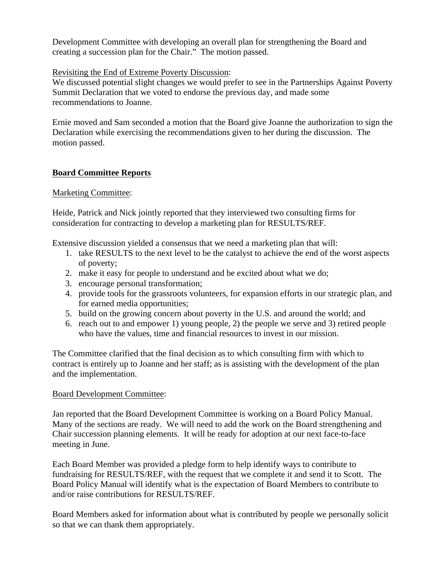Development Committee with developing an overall plan for strengthening the Board and creating a succession plan for the Chair." The motion passed.

# Revisiting the End of Extreme Poverty Discussion:

We discussed potential slight changes we would prefer to see in the Partnerships Against Poverty Summit Declaration that we voted to endorse the previous day, and made some recommendations to Joanne.

Ernie moved and Sam seconded a motion that the Board give Joanne the authorization to sign the Declaration while exercising the recommendations given to her during the discussion. The motion passed.

## **Board Committee Reports**

### Marketing Committee:

Heide, Patrick and Nick jointly reported that they interviewed two consulting firms for consideration for contracting to develop a marketing plan for RESULTS/REF.

Extensive discussion yielded a consensus that we need a marketing plan that will:

- 1. take RESULTS to the next level to be the catalyst to achieve the end of the worst aspects of poverty;
- 2. make it easy for people to understand and be excited about what we do;
- 3. encourage personal transformation;
- 4. provide tools for the grassroots volunteers, for expansion efforts in our strategic plan, and for earned media opportunities;
- 5. build on the growing concern about poverty in the U.S. and around the world; and
- 6. reach out to and empower 1) young people, 2) the people we serve and 3) retired people who have the values, time and financial resources to invest in our mission.

The Committee clarified that the final decision as to which consulting firm with which to contract is entirely up to Joanne and her staff; as is assisting with the development of the plan and the implementation.

### Board Development Committee:

Jan reported that the Board Development Committee is working on a Board Policy Manual. Many of the sections are ready. We will need to add the work on the Board strengthening and Chair succession planning elements. It will be ready for adoption at our next face-to-face meeting in June.

Each Board Member was provided a pledge form to help identify ways to contribute to fundraising for RESULTS/REF, with the request that we complete it and send it to Scott. The Board Policy Manual will identify what is the expectation of Board Members to contribute to and/or raise contributions for RESULTS/REF.

Board Members asked for information about what is contributed by people we personally solicit so that we can thank them appropriately.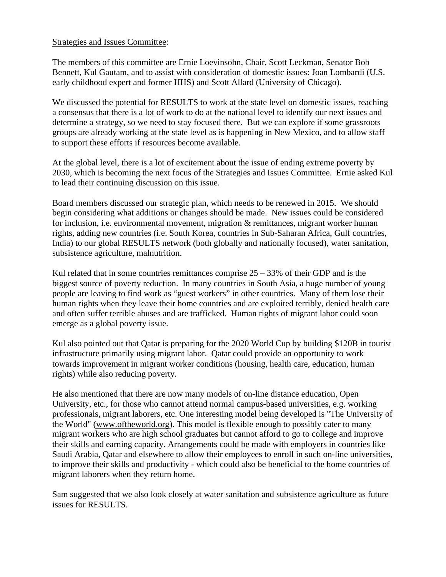### Strategies and Issues Committee:

The members of this committee are Ernie Loevinsohn, Chair, Scott Leckman, Senator Bob Bennett, Kul Gautam, and to assist with consideration of domestic issues: Joan Lombardi (U.S. early childhood expert and former HHS) and Scott Allard (University of Chicago).

We discussed the potential for RESULTS to work at the state level on domestic issues, reaching a consensus that there is a lot of work to do at the national level to identify our next issues and determine a strategy, so we need to stay focused there. But we can explore if some grassroots groups are already working at the state level as is happening in New Mexico, and to allow staff to support these efforts if resources become available.

At the global level, there is a lot of excitement about the issue of ending extreme poverty by 2030, which is becoming the next focus of the Strategies and Issues Committee. Ernie asked Kul to lead their continuing discussion on this issue.

Board members discussed our strategic plan, which needs to be renewed in 2015. We should begin considering what additions or changes should be made. New issues could be considered for inclusion, i.e. environmental movement, migration & remittances, migrant worker human rights, adding new countries (i.e. South Korea, countries in Sub-Saharan Africa, Gulf countries, India) to our global RESULTS network (both globally and nationally focused), water sanitation, subsistence agriculture, malnutrition.

Kul related that in some countries remittances comprise  $25 - 33%$  of their GDP and is the biggest source of poverty reduction. In many countries in South Asia, a huge number of young people are leaving to find work as "guest workers" in other countries. Many of them lose their human rights when they leave their home countries and are exploited terribly, denied health care and often suffer terrible abuses and are trafficked. Human rights of migrant labor could soon emerge as a global poverty issue.

Kul also pointed out that Qatar is preparing for the 2020 World Cup by building \$120B in tourist infrastructure primarily using migrant labor. Qatar could provide an opportunity to work towards improvement in migrant worker conditions (housing, health care, education, human rights) while also reducing poverty.

He also mentioned that there are now many models of on-line distance education, Open University, etc., for those who cannot attend normal campus-based universities, e.g. working professionals, migrant laborers, etc. One interesting model being developed is "The University of the World" (www.oftheworld.org). This model is flexible enough to possibly cater to many migrant workers who are high school graduates but cannot afford to go to college and improve their skills and earning capacity. Arrangements could be made with employers in countries like Saudi Arabia, Qatar and elsewhere to allow their employees to enroll in such on-line universities, to improve their skills and productivity - which could also be beneficial to the home countries of migrant laborers when they return home.

Sam suggested that we also look closely at water sanitation and subsistence agriculture as future issues for RESULTS.